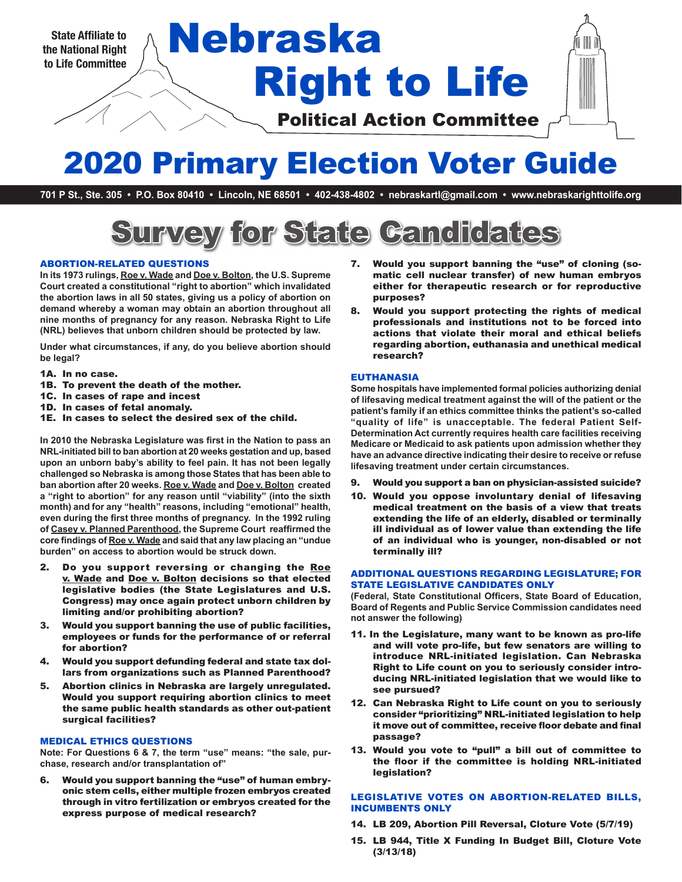**the National Right to Life Committee**

# Right to Life State Affiliate to **Nebraska**

Political Action Committee

# 2020 Primary Election Voter Guide

**701 P St., Ste. 305 • P.O. Box 80410 • Lincoln, NE 68501 • 402-438-4802 • nebraskartl@gmail.com • www.nebraskarighttolife.org**

# Survey for State Candidates

#### ABORTION-RELATED QUESTIONS

**In its 1973 rulings, Roe v. Wade and Doe v. Bolton, the U.S. Supreme Court created a constitutional "right to abortion" which invalidated the abortion laws in all 50 states, giving us a policy of abortion on demand whereby a woman may obtain an abortion throughout all nine months of pregnancy for any reason. Nebraska Right to Life (NRL) believes that unborn children should be protected by law.** 

**Under what circumstances, if any, do you believe abortion should be legal?**

- 1A. In no case.
- 1B. To prevent the death of the mother.
- 1C. In cases of rape and incest
- 1D. In cases of fetal anomaly.
- 1E. In cases to select the desired sex of the child.

**In 2010 the Nebraska Legislature was first in the Nation to pass an NRL-initiated bill to ban abortion at 20 weeks gestation and up, based upon an unborn baby's ability to feel pain. It has not been legally challenged so Nebraska is among those States that has been able to ban abortion after 20 weeks. Roe v. Wade and Doe v. Bolton created a "right to abortion" for any reason until "viability" (into the sixth month) and for any "health" reasons, including "emotional" health, even during the first three months of pregnancy. In the 1992 ruling of Casey v. Planned Parenthood, the Supreme Court reaffirmed the core findings of Roe v. Wade and said that any law placing an "undue burden" on access to abortion would be struck down.**

- 2. Do you support reversing or changing the Roe v. Wade and Doe v. Bolton decisions so that elected legislative bodies (the State Legislatures and U.S. Congress) may once again protect unborn children by limiting and/or prohibiting abortion?
- 3. Would you support banning the use of public facilities, employees or funds for the performance of or referral for abortion?
- 4. Would you support defunding federal and state tax dollars from organizations such as Planned Parenthood?
- 5. Abortion clinics in Nebraska are largely unregulated. Would you support requiring abortion clinics to meet the same public health standards as other out-patient surgical facilities?

#### MEDICAL ETHICS QUESTIONS

**Note: For Questions 6 & 7, the term "use" means: "the sale, purchase, research and/or transplantation of"**

6. Would you support banning the "use" of human embryonic stem cells, either multiple frozen embryos created through in vitro fertilization or embryos created for the express purpose of medical research?

- 7. Would you support banning the "use" of cloning (somatic cell nuclear transfer) of new human embryos either for therapeutic research or for reproductive purposes?
- 8. Would you support protecting the rights of medical professionals and institutions not to be forced into actions that violate their moral and ethical beliefs regarding abortion, euthanasia and unethical medical research?

#### EUTHANASIA

**Some hospitals have implemented formal policies authorizing denial of lifesaving medical treatment against the will of the patient or the patient's family if an ethics committee thinks the patient's so-called "quality of life" is unacceptable. The federal Patient Self-Determination Act currently requires health care facilities receiving Medicare or Medicaid to ask patients upon admission whether they have an advance directive indicating their desire to receive or refuse lifesaving treatment under certain circumstances.** 

- 9. Would you support a ban on physician-assisted suicide?
- 10. Would you oppose involuntary denial of lifesaving medical treatment on the basis of a view that treats extending the life of an elderly, disabled or terminally ill individual as of lower value than extending the life of an individual who is younger, non-disabled or not terminally ill?

#### ADDITIONAL QUESTIONS REGARDING LEGISLATURE; FOR STATE LEGISLATIVE CANDIDATES ONLY

**(Federal, State Constitutional Officers, State Board of Education, Board of Regents and Public Service Commission candidates need not answer the following)**

- 11. In the Legislature, many want to be known as pro-life and will vote pro-life, but few senators are willing to introduce NRL-initiated legislation. Can Nebraska Right to Life count on you to seriously consider introducing NRL-initiated legislation that we would like to see pursued?
- 12. Can Nebraska Right to Life count on you to seriously consider "prioritizing" NRL-initiated legislation to help it move out of committee, receive floor debate and final passage?
- 13. Would you vote to "pull" a bill out of committee to the floor if the committee is holding NRL-initiated legislation?

#### LEGISLATIVE VOTES ON ABORTION-RELATED BILLS, INCUMBENTS ONLY

- 14. LB 209, Abortion Pill Reversal, Cloture Vote (5/7/19)
- 15. LB 944, Title X Funding In Budget Bill, Cloture Vote (3/13/18)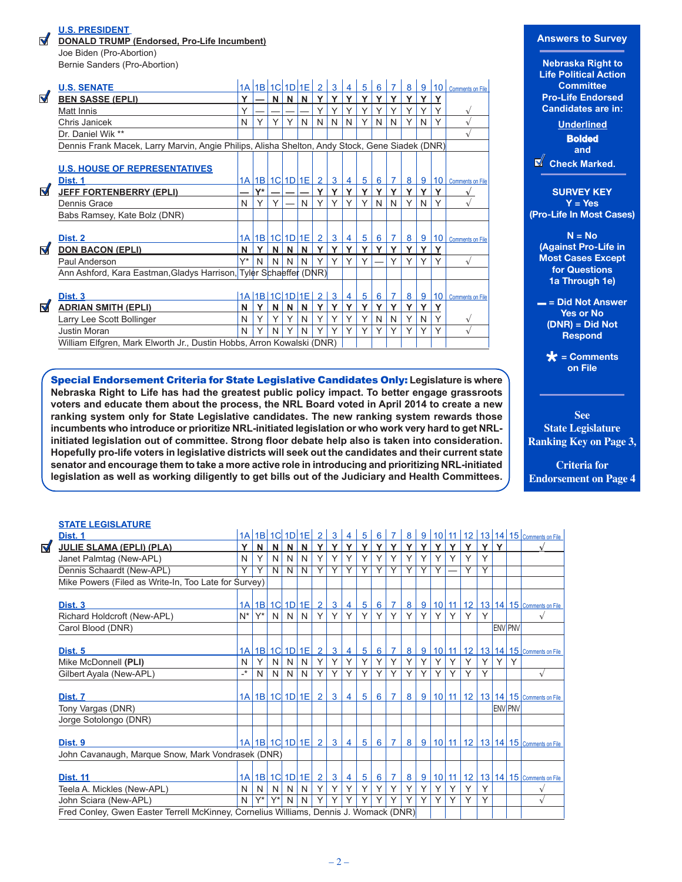### **U.S. PRESIDENT**

ನ

**DONALD TRUMP (Endorsed, Pro-Life Incumbent)**

Joe Biden (Pro-Abortion) Bernie Sanders (Pro-Abortion)

|   | <b>U.S. SENATE</b>                                                                             |    | 1A 1B 1C 1D 1E         |   |   |   | $\overline{2}$ | 3              |              | 5           | 6 |                | 8 | 9 | 10              | <b>Comments on File</b> |
|---|------------------------------------------------------------------------------------------------|----|------------------------|---|---|---|----------------|----------------|--------------|-------------|---|----------------|---|---|-----------------|-------------------------|
| ◀ | <b>BEN SASSE (EPLI)</b>                                                                        | v  |                        | N | N | N | Υ              | Y              | Y            | v           | Y |                | v |   |                 |                         |
|   | Matt Innis                                                                                     | Υ  |                        |   |   |   | Υ              | Υ              |              | Υ           |   |                |   |   |                 |                         |
|   | Chris Janicek                                                                                  | N  |                        | Υ | Υ | N | N              | N              | N            | Υ           | N | N              | Y | N | Υ               |                         |
|   | Dr. Daniel Wik **                                                                              |    |                        |   |   |   |                |                |              |             |   |                |   |   |                 |                         |
|   | Dennis Frank Macek, Larry Marvin, Angie Philips, Alisha Shelton, Andy Stock, Gene Siadek (DNR) |    |                        |   |   |   |                |                |              |             |   |                |   |   |                 |                         |
|   |                                                                                                |    |                        |   |   |   |                |                |              |             |   |                |   |   |                 |                         |
|   | <b>U.S. HOUSE OF REPRESENTATIVES</b>                                                           |    |                        |   |   |   |                |                |              |             |   |                |   |   |                 |                         |
|   | Dist. 1                                                                                        |    | 1A   1B   1C   1D   1E |   |   |   | $\overline{2}$ | 3              | 4            | 5           | 6 | $\overline{7}$ | 8 | 9 | 10 <sup>1</sup> | Comments on File        |
| Ⅴ | <b>JEFF FORTENBERRY (EPLI)</b>                                                                 |    | Y*                     |   |   |   | Y              | Y              | Y            | v           | v |                | v |   | Y               |                         |
|   | Dennis Grace                                                                                   | N  | Υ                      |   |   | N |                | Y              |              |             | N | N              |   | N | Y               |                         |
|   | Babs Ramsey, Kate Bolz (DNR)                                                                   |    |                        |   |   |   |                |                |              |             |   |                |   |   |                 |                         |
|   |                                                                                                |    |                        |   |   |   |                |                |              |             |   |                |   |   |                 |                         |
|   | Dist. 2                                                                                        |    | $1A$  1B 1C 1D 1E      |   |   |   | $\overline{2}$ | 3              | 4            | 5           | 6 | $\overline{7}$ | 8 | 9 |                 | 10 Comments on File     |
| ☑ | <b>DON BACON (EPLI)</b>                                                                        | N  | Y                      | N | N | N | Y              | $\mathbf v$    | $\checkmark$ | $\mathbf v$ | v | v              | v | v | Y               |                         |
|   | Paul Anderson                                                                                  | V* | N                      | N | N | N | Υ              | Υ              | Υ            |             |   |                |   |   | Υ               |                         |
|   | Ann Ashford, Kara Eastman, Gladys Harrison, Tyler Schaeffer (DNR)                              |    |                        |   |   |   |                |                |              |             |   |                |   |   |                 |                         |
|   |                                                                                                |    |                        |   |   |   |                |                |              |             |   |                |   |   |                 |                         |
|   | Dist. 3                                                                                        |    | 1A 1B 1C 1D 1E         |   |   |   | 2 <sup>1</sup> | $\overline{3}$ | 4            | 5           | 6 | $\overline{7}$ | 8 | 9 | 10              | Comments on File        |
| M | <b>ADRIAN SMITH (EPLI)</b>                                                                     | N  | Y                      | N | N | N | Y              | Y              | Y            | v           | v | v              | v | v | Υ               |                         |
|   | Larry Lee Scott Bollinger                                                                      | N  |                        | Υ | Υ | N |                | Υ              | Υ            | Υ           | N | N              | Υ | N | Υ               |                         |
|   | Justin Moran                                                                                   | N  | Υ                      | N | Y | N | Υ              | Υ              | Υ            | Y           | Υ | Υ              | Υ | Υ | Υ               |                         |
|   | William Elfgren, Mark Elworth Jr., Dustin Hobbs, Arron Kowalski (DNR)                          |    |                        |   |   |   |                |                |              |             |   |                |   |   |                 |                         |

Special Endorsement Criteria for State Legislative Candidates Only: **Legislature is where Nebraska Right to Life has had the greatest public policy impact. To better engage grassroots voters and educate them about the process, the NRL Board voted in April 2014 to create a new ranking system only for State Legislative candidates. The new ranking system rewards those incumbents who introduce or prioritize NRL-initiated legislation or who work very hard to get NRLinitiated legislation out of committee. Strong floor debate help also is taken into consideration. Hopefully pro-life voters in legislative districts will seek out the candidates and their current state senator and encourage them to take a more active role in introducing and prioritizing NRL-initiated legislation as well as working diligently to get bills out of the Judiciary and Health Committees.**

#### **Answers to Survey**

**Nebraska Right to Life Political Action Committee Pro-Life Endorsed Candidates are in:**

**Underlined Bolded and Check Marked.** 

**SURVEY KEY Y = Yes (Pro-Life In Most Cases)** 

**N = No (Against Pro-Life in Most Cases Except for Questions 1a Through 1e)** 

**– = Did Not Answer Yes or No (DNR) = Did Not Respond** 

> **\* = Comments on File**

**See State Legislature Ranking Key on Page 3,** 

**Criteria for Endorsement on Page 4**

## **STATE LEGISLATURE**

 $\triangledown$ 

| .   = ======= <del>.</del> . .                                                        |                            |       |       |              |                      |                |                |                |                 |   |                |   |                |   |       |    |                         |   |                |                                                |
|---------------------------------------------------------------------------------------|----------------------------|-------|-------|--------------|----------------------|----------------|----------------|----------------|-----------------|---|----------------|---|----------------|---|-------|----|-------------------------|---|----------------|------------------------------------------------|
| Dist. 1                                                                               |                            |       |       |              | 1A 1B 1C 1D 1E       | $\overline{2}$ | 3              | 4              | 5               | 6 |                | 8 | 9              |   | 10 11 |    |                         |   |                | 12 13 14 15 Comments on File                   |
| <b>JULIE SLAMA (EPLI) (PLA)</b>                                                       | Y                          | N     | N     | N            | N                    | Y              | Y              | Y              | Y               | Y | Υ              | Y | Y              | Y | Y     | Y  | Υ                       | Y |                |                                                |
| Janet Palmtag (New-APL)                                                               | N                          | Y     | N     | N            | N                    | Y              | Y              | Y              | Y               | Υ | Υ              | Y | Υ              | Υ | Y     | Υ  | Υ                       |   |                |                                                |
| Dennis Schaardt (New-APL)                                                             | Y                          | Y     | N     | N            | N                    | $\overline{Y}$ | Y              | Y              | Υ               | Υ | Υ              | Υ | Υ              | Υ |       | Υ  | $\overline{\mathsf{Y}}$ |   |                |                                                |
| Mike Powers (Filed as Write-In, Too Late for Survey)                                  |                            |       |       |              |                      |                |                |                |                 |   |                |   |                |   |       |    |                         |   |                |                                                |
|                                                                                       |                            |       |       |              |                      |                |                |                |                 |   |                |   |                |   |       |    |                         |   |                |                                                |
| Dist. <sub>3</sub>                                                                    |                            |       |       |              | $1A$ 1B 1C 1D 1E     | $\overline{2}$ | $\mathbf{3}$   | 4 <sup>1</sup> | $5\overline{)}$ | 6 | 7 <sup>1</sup> | 8 | 9              |   |       |    |                         |   |                | 10   11   12   13   14   15   Comments on File |
| Richard Holdcroft (New-APL)                                                           | $N^*$                      | $Y^*$ | N     | N            | N                    | Y              | Υ              | Y              | Y               | Y | Y              | Y | Υ              | Υ | Y     | Y  | Υ                       |   |                | $\sqrt{ }$                                     |
| Carol Blood (DNR)                                                                     |                            |       |       |              |                      |                |                |                |                 |   |                |   |                |   |       |    |                         |   | <b>ENV PNV</b> |                                                |
| Dist. 5                                                                               |                            |       |       |              | 1A 1B 1C 1D 1E       | $\overline{2}$ | $\mathbf{3}$   | $\overline{4}$ | $5\overline{)}$ | 6 | $\overline{7}$ | 8 | 9              |   |       |    |                         |   |                | 10 11 12 13 14 15 Comments on File             |
| Mike McDonnell (PLI)                                                                  | N                          | Y     | N     | N            | N                    | Y              | Y              | Y              | Y               | Y | Y              | Υ | Y              | Y | Y     | Y  | Υ                       | Υ | Υ              |                                                |
| Gilbert Ayala (New-APL)                                                               | $\overline{\phantom{a}}^*$ | N     | N     | N            | N                    | Y              | Y              | Y              | Y               | Y | Y              | Y | Υ              | Y | Y     | Y  | Υ                       |   |                | $\sqrt{}$                                      |
|                                                                                       |                            |       |       |              |                      |                |                |                |                 |   |                |   |                |   |       |    |                         |   |                |                                                |
| Dist. 7                                                                               |                            |       |       |              | $1A$ 1B $1C$ 1D $1E$ | $\overline{2}$ | $\mathbf{3}$   | $\overline{4}$ | $5^{\circ}$     | 6 | $\sqrt{Z}$     | 8 | 9              |   |       |    |                         |   |                | 10 11 12 13 14 15 Comments on File             |
| Tony Vargas (DNR)                                                                     |                            |       |       |              |                      |                |                |                |                 |   |                |   |                |   |       |    |                         |   | <b>ENV PNV</b> |                                                |
| Jorge Sotolongo (DNR)                                                                 |                            |       |       |              |                      |                |                |                |                 |   |                |   |                |   |       |    |                         |   |                |                                                |
|                                                                                       |                            |       |       |              |                      |                |                |                |                 |   |                |   |                |   |       |    |                         |   |                |                                                |
| Dist. 9                                                                               |                            |       |       |              | $1A$ 1B 1C 1D 1E 2   |                | 3 <sup>1</sup> | $\overline{4}$ | $5^{\circ}$     | 6 | <b>7</b> I     | 8 | 9 <sup>1</sup> |   |       |    |                         |   |                | 10 11 12 13 14 15 Comments on File             |
| John Cavanaugh, Marque Snow, Mark Vondrasek (DNR)                                     |                            |       |       |              |                      |                |                |                |                 |   |                |   |                |   |       |    |                         |   |                |                                                |
| <b>Dist. 11</b>                                                                       |                            |       |       |              | 1A 1B 1C 1D 1E       | $\overline{2}$ | $\mathbf{3}$   | $\overline{4}$ | $5\phantom{.0}$ | 6 | $\overline{7}$ | 8 | 9              |   | 10 11 | 12 |                         |   |                | 13 14 15 Comments on File                      |
|                                                                                       | N                          | N     | N     |              | N                    | Y              | Y              | Y              | Y               | Y | Y              | Y | Y              | Υ | Y     | Υ  | Υ                       |   |                |                                                |
| Teela A. Mickles (New-APL)                                                            |                            | Y*    |       | <sup>N</sup> |                      | Y              | Υ              |                | Y               | Y | Υ              | Y | Υ              | Y | Y     | Y  | Y                       |   |                | $\sqrt{}$                                      |
| John Sciara (New-APL)                                                                 | N                          |       | $Y^*$ | N            | N                    |                |                | Υ              |                 |   |                |   |                |   |       |    |                         |   |                | $\mathbf v$                                    |
| Fred Conley, Gwen Easter Terrell McKinney, Cornelius Williams, Dennis J. Womack (DNR) |                            |       |       |              |                      |                |                |                |                 |   |                |   |                |   |       |    |                         |   |                |                                                |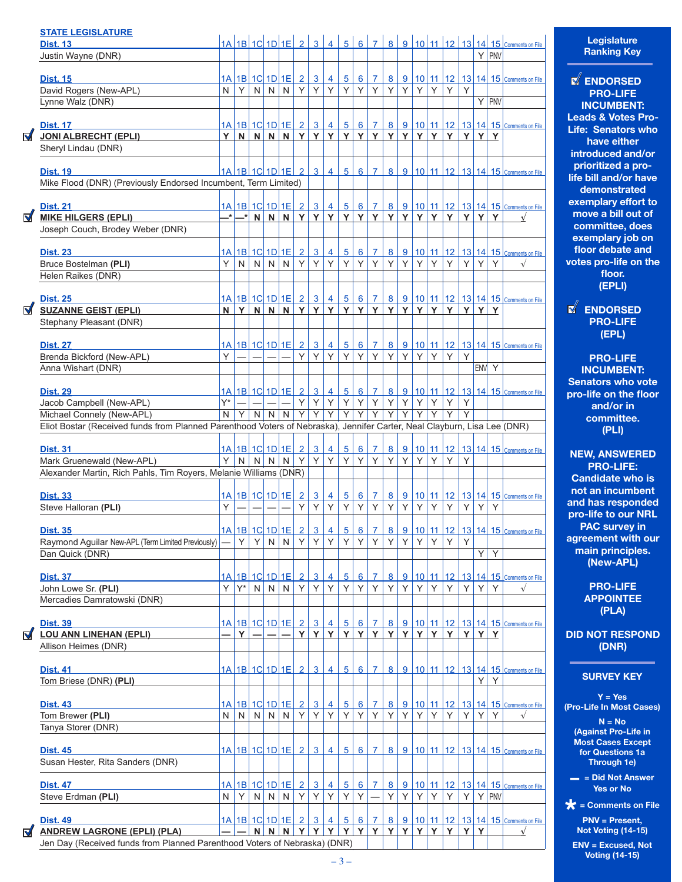|                | <b>STATE LEGISLATURE</b>                                                                                                 |    |       |                |                                    |                 |                              |                                   |                 |                 |                |                |                |                |   |         |             |              |   |             |                                                                                                                  |
|----------------|--------------------------------------------------------------------------------------------------------------------------|----|-------|----------------|------------------------------------|-----------------|------------------------------|-----------------------------------|-----------------|-----------------|----------------|----------------|----------------|----------------|---|---------|-------------|--------------|---|-------------|------------------------------------------------------------------------------------------------------------------|
|                | <b>Dist. 13</b>                                                                                                          |    |       |                |                                    |                 |                              |                                   |                 |                 |                |                |                |                |   |         |             |              |   | $Y$ PNV     | 1A 1B 1C 1D 1E 2 3 4 5 6 7 8 9 10 11 12 13 14 15 Comments on File                                                |
|                | Justin Wayne (DNR)                                                                                                       |    |       |                |                                    |                 |                              |                                   |                 |                 |                |                |                |                |   |         |             |              |   |             |                                                                                                                  |
|                | <b>Dist. 15</b>                                                                                                          |    |       |                |                                    |                 |                              | <u>1A 1B 1C 1D 1E 2 3</u>         | $\vert 4 \vert$ |                 |                |                |                |                |   |         |             |              |   |             | <u>5 6 7 8 9 10 11 12 13 14 15 Comments on File</u>                                                              |
|                | David Rogers (New-APL)                                                                                                   | N. | Y     | N              |                                    | $N$ $N$         | Y                            | Y                                 | Y               |                 |                | $Y$ $Y$ $Y$    | $Y \mid$       | Y              |   | $Y$ $Y$ | Y           | Y            |   |             |                                                                                                                  |
|                | Lynne Walz (DNR)                                                                                                         |    |       |                |                                    |                 |                              |                                   |                 |                 |                |                |                |                |   |         |             |              |   | $Y$ PNV     |                                                                                                                  |
|                |                                                                                                                          |    |       |                |                                    |                 |                              |                                   |                 |                 |                |                |                |                |   |         |             |              |   |             |                                                                                                                  |
|                | <b>Dist. 17</b>                                                                                                          |    |       |                |                                    |                 |                              |                                   |                 |                 |                |                |                |                |   |         |             |              |   |             | <u>1A 1B 1C 1D 1E 2 3 4 5 6 7 8 9 10 11 12 13 14 15 Comments on File</u>                                         |
| $\blacksquare$ | <b>JONI ALBRECHT (EPLI)</b>                                                                                              | Y  |       |                |                                    |                 |                              | N N N N Y Y Y Y Y Y Y Y Y Y Y Y Y |                 |                 |                |                |                |                |   |         |             | Y            | Y | $\mathbf Y$ |                                                                                                                  |
|                | Sheryl Lindau (DNR)                                                                                                      |    |       |                |                                    |                 |                              |                                   |                 |                 |                |                |                |                |   |         |             |              |   |             |                                                                                                                  |
|                |                                                                                                                          |    |       |                |                                    |                 |                              |                                   |                 |                 |                |                |                |                |   |         |             |              |   |             | <u>  1A   1B   1C   1D   1E   2   3   4   5   6   7   8   9   10   11   12   13   14   15   comments on File</u> |
|                | <b>Dist. 19</b><br>Mike Flood (DNR) (Previously Endorsed Incumbent, Term Limited)                                        |    |       |                |                                    |                 |                              |                                   |                 |                 |                |                |                |                |   |         |             |              |   |             |                                                                                                                  |
|                |                                                                                                                          |    |       |                |                                    |                 |                              |                                   |                 |                 |                |                |                |                |   |         |             |              |   |             |                                                                                                                  |
|                | <b>Dist. 21</b>                                                                                                          |    |       |                |                                    |                 |                              | <u>1A 1B 1C 1D 1E 2 3</u>         | $\overline{4}$  |                 |                |                |                |                |   |         |             |              |   |             | <u>5 6 7 8 9 10 11 12 13 14 15 Comments on File</u>                                                              |
| $\blacksquare$ | <b>MIKE HILGERS (EPLI)</b>                                                                                               |    |       |                |                                    |                 |                              |                                   |                 |                 |                |                |                |                |   |         |             |              |   | YYY         |                                                                                                                  |
|                | Joseph Couch, Brodey Weber (DNR)                                                                                         |    |       |                |                                    |                 |                              |                                   |                 |                 |                |                |                |                |   |         |             |              |   |             |                                                                                                                  |
|                |                                                                                                                          |    |       |                |                                    |                 |                              |                                   |                 |                 |                |                |                |                |   |         |             |              |   |             |                                                                                                                  |
|                | <b>Dist. 23</b>                                                                                                          |    |       |                |                                    |                 |                              | 1A   1B   1C   1D   1E   2   3    | $\vert 4 \vert$ |                 |                |                |                |                |   |         |             |              |   |             | <u>5 6 7 8 9 10 11 12 13 14 15 Comments on File</u>                                                              |
|                | Bruce Bostelman (PLI)                                                                                                    | Y. | N.    | N              |                                    | NN <sup> </sup> | $Y \mid$                     | Y                                 | Y               |                 |                | Y Y Y          | Y              | Y              |   | YY      | Y           | Y            | Y | Y           | $\sqrt{}$                                                                                                        |
|                | Helen Raikes (DNR)                                                                                                       |    |       |                |                                    |                 |                              |                                   |                 |                 |                |                |                |                |   |         |             |              |   |             |                                                                                                                  |
|                |                                                                                                                          |    |       |                |                                    |                 |                              |                                   |                 |                 |                |                |                |                |   |         |             |              |   |             |                                                                                                                  |
|                | <b>Dist. 25</b>                                                                                                          |    |       |                |                                    |                 |                              |                                   |                 |                 |                |                |                |                |   |         |             |              |   |             | <u>1A 1B 1C 1D 1E 2 3 4 5 6 7 8 9 10 11 12 13 14 15 Comments on File</u>                                         |
| M              | <b>SUZANNE GEIST (EPLI)</b>                                                                                              | N  |       |                |                                    |                 |                              | $Y$ N N N Y Y Y Y Y Y             |                 |                 |                |                | YYY            |                |   |         | $Y$ $Y$ $Y$ | Y            |   | $Y$ $Y$     |                                                                                                                  |
|                | Stephany Pleasant (DNR)                                                                                                  |    |       |                |                                    |                 |                              |                                   |                 |                 |                |                |                |                |   |         |             |              |   |             |                                                                                                                  |
|                | <b>Dist. 27</b>                                                                                                          |    |       |                |                                    |                 |                              | <u>1A 1B 1C 1D 1E 2 3</u>         | $\overline{4}$  |                 |                |                |                |                |   |         |             |              |   |             | 5 6 7 8 9 10 11 12 13 14 15 Comments on File                                                                     |
|                | Brenda Bickford (New-APL)                                                                                                | Y  |       |                |                                    |                 | Y <sub>1</sub>               | Y                                 | Y               | Y               | $Y \vert$      | Y.             | Y              | Y              | Y | Y       | Y           | Y            |   |             |                                                                                                                  |
|                | Anna Wishart (DNR)                                                                                                       |    |       |                |                                    |                 |                              |                                   |                 |                 |                |                |                |                |   |         |             |              |   | ENV Y       |                                                                                                                  |
|                |                                                                                                                          |    |       |                |                                    |                 |                              |                                   |                 |                 |                |                |                |                |   |         |             |              |   |             |                                                                                                                  |
|                | <b>Dist. 29</b>                                                                                                          |    |       |                |                                    |                 |                              | <u>1A 1B 1C 1D 1E 2 3</u>         | $\overline{4}$  |                 |                |                |                |                |   |         |             |              |   |             | 8 9 10 11 12 13 14 15 Comments on File                                                                           |
|                | Jacob Campbell (New-APL)                                                                                                 | Y* |       |                |                                    |                 | Y                            | Y                                 | Y               | Y               | $Y \vert$      | Y              | Y              | Y              | Υ | Y.      | Y           | Υ            |   |             |                                                                                                                  |
|                | Michael Connely (New-APL)                                                                                                | N. | Y     | $\overline{N}$ | N N                                |                 | $\overline{Y}$               | $\overline{Y}$                    | $\overline{Y}$  | $\overline{Y}$  | $\overline{Y}$ | $\overline{Y}$ | $\overline{Y}$ | Y              | Y | Y       | Y           | Y            |   |             |                                                                                                                  |
|                | Eliot Bostar (Received funds from Planned Parenthood Voters of Nebraska), Jennifer Carter, Neal Clayburn, Lisa Lee (DNR) |    |       |                |                                    |                 |                              |                                   |                 |                 |                |                |                |                |   |         |             |              |   |             |                                                                                                                  |
|                |                                                                                                                          |    |       |                |                                    |                 |                              |                                   |                 |                 |                |                |                |                |   |         |             |              |   |             |                                                                                                                  |
|                | <b>Dist. 31</b>                                                                                                          |    |       |                |                                    |                 | 1A 1B 1C 1D 1E 2             | $\overline{3}$                    | $\overline{4}$  | 5               | $6 \mid$       | 7 <sup>1</sup> |                | 8 9            |   |         | $10$ 11 12  |              |   |             | 13 14 15 Comments on File                                                                                        |
|                | Mark Gruenewald (New-APL)                                                                                                |    |       |                |                                    |                 | $Y$ N N N N Y                | Y                                 | Y               | Y               | $Y \mid$       | Y              | Y              | Y              | Y | Y.      | Y           | Y            |   |             |                                                                                                                  |
|                | Alexander Martin, Rich Pahls, Tim Royers, Melanie Williams (DNR)                                                         |    |       |                |                                    |                 |                              |                                   |                 |                 |                |                |                |                |   |         |             |              |   |             |                                                                                                                  |
|                | <b>Dist. 33</b>                                                                                                          |    |       |                |                                    |                 | 1A 1B 1C 1D 1E 2             | $\overline{3}$                    | $\overline{4}$  | $\overline{5}$  | 6              | 7 <sup>1</sup> |                | 89             |   |         |             |              |   |             | 10 11 12 13 14 15 Comments on File                                                                               |
|                | Steve Halloran (PLI)                                                                                                     | Y  |       |                |                                    |                 | Y                            | Y                                 | Y               | Y               | Y              | Y              | Y              | Y              | Y | Y       | Y           | Y            | Υ | Y           |                                                                                                                  |
|                |                                                                                                                          |    |       |                |                                    |                 |                              |                                   |                 |                 |                |                |                |                |   |         |             |              |   |             |                                                                                                                  |
|                | <b>Dist. 35</b>                                                                                                          |    |       |                | $ 1A $ $ 1B $ $ 1C $ $ 1D $ $ 1E $ |                 | $\sqrt{2}$                   | $\overline{3}$                    | $\vert 4 \vert$ | 5 <sup>1</sup>  |                | 6 7            |                |                |   |         |             |              |   |             | 8 9 10 11 12 13 14 15 Comments on File                                                                           |
|                | Raymond Aguilar New-APL (Term Limited Previously)                                                                        |    | Y     | Y              | N                                  | N               | Y                            | Y                                 | Y               | Y               | Y              | Y              | Y              | Y              | Y | Υ       | Y           | Υ            |   |             |                                                                                                                  |
|                | Dan Quick (DNR)                                                                                                          |    |       |                |                                    |                 |                              |                                   |                 |                 |                |                |                |                |   |         |             |              | Υ | Y           |                                                                                                                  |
|                |                                                                                                                          |    |       |                |                                    |                 |                              |                                   |                 |                 |                |                |                |                |   |         |             |              |   |             |                                                                                                                  |
|                | <u>Dist. 37</u>                                                                                                          |    |       |                | <u>1A 1B 1C 1D 1E</u>              |                 | $\overline{2}$               | $\overline{3}$                    | 4               | $5\overline{)}$ | $6 \mid$       | $\mathbf{7}$   | 8              | 9              |   |         | $10$ 11 12  |              |   |             | 13 14 15 Comments on File                                                                                        |
|                | John Lowe Sr. (PLI)                                                                                                      | Υ  | $Y^*$ | N              | N                                  | N               | Y                            | Y                                 | Y               | Y               | Y              | Y              | Y              | Y              | Y | Υ       | Y           | Y            | Y | Y           | $\sqrt{ }$                                                                                                       |
|                | Mercadies Damratowski (DNR)                                                                                              |    |       |                |                                    |                 |                              |                                   |                 |                 |                |                |                |                |   |         |             |              |   |             |                                                                                                                  |
|                |                                                                                                                          |    |       |                |                                    |                 |                              | 3                                 | $\vert$ 4       |                 |                |                |                |                |   |         |             |              |   |             | 5 6 7 8 9 10 11 12 13 14 15 Comments on File                                                                     |
| $\blacksquare$ | <b>Dist. 39</b><br><b>LOU ANN LINEHAN (EPLI)</b>                                                                         |    | Y     |                |                                    |                 | <u>1A 1B 1C 1D 1E 2</u><br>Y | Y                                 | Y               | Y               | Y              | Y              | Y              | Y              | Y |         | YY          | Y            |   | YY          |                                                                                                                  |
|                | Allison Heimes (DNR)                                                                                                     |    |       |                |                                    |                 |                              |                                   |                 |                 |                |                |                |                |   |         |             |              |   |             |                                                                                                                  |
|                |                                                                                                                          |    |       |                |                                    |                 |                              |                                   |                 |                 |                |                |                |                |   |         |             |              |   |             |                                                                                                                  |
|                | <b>Dist. 41</b>                                                                                                          |    |       |                |                                    |                 |                              | 1A   1B   1C   1D   1E   2   3    | $\overline{4}$  |                 |                |                |                |                |   |         |             |              |   |             | <u>5   6   7   8   9   10   11   12   13   14   15   Comments on File</u>                                        |
|                | Tom Briese (DNR) (PLI)                                                                                                   |    |       |                |                                    |                 |                              |                                   |                 |                 |                |                |                |                |   |         |             |              | Y | Υ           |                                                                                                                  |
|                |                                                                                                                          |    |       |                |                                    |                 |                              |                                   |                 |                 |                |                |                |                |   |         |             |              |   |             |                                                                                                                  |
|                | <b>Dist. 43</b>                                                                                                          |    |       |                |                                    |                 | <u>1A 1B 1C 1D 1E 2</u>      | $\mathbf{3}$                      | 4               | 5               | 6              | $7^{\circ}$    | 8 <sup>1</sup> | 9 <sup>1</sup> |   |         |             |              |   |             | 10 11 12 13 14 15 Comments on File                                                                               |
|                | Tom Brewer (PLI)                                                                                                         | N  | N     | N              |                                    | $N \mid N$      | Y                            | Y                                 | Y               | Y               | Y              | Y.             | Y              | Υ              | Υ | Υ       | Υ           | Υ            | Y | Y           | $\sqrt{}$                                                                                                        |
|                | Tanya Storer (DNR)                                                                                                       |    |       |                |                                    |                 |                              |                                   |                 |                 |                |                |                |                |   |         |             |              |   |             |                                                                                                                  |
|                |                                                                                                                          |    |       |                |                                    |                 |                              |                                   |                 |                 |                |                |                |                |   |         |             |              |   |             |                                                                                                                  |
|                | <b>Dist. 45</b><br>Susan Hester, Rita Sanders (DNR)                                                                      |    |       |                |                                    |                 | 1A   1B   1C   1D   1E   2   | $\mathbf{3}$                      | $\overline{4}$  | 5 <sup>1</sup>  | 6              | $7^{\circ}$    | 8 <sup>1</sup> | 9 <sup>1</sup> |   |         |             |              |   |             | 10 11 12 13 14 15 Comments on File                                                                               |
|                |                                                                                                                          |    |       |                |                                    |                 |                              |                                   |                 |                 |                |                |                |                |   |         |             |              |   |             |                                                                                                                  |
|                | <b>Dist. 47</b>                                                                                                          |    |       |                | <u>1A 1B 1C 1D 1E</u>              |                 | $\overline{2}$               | $\mathbf{3}$                      | 4               | $5\overline{)}$ | 6              | 7 <sup>1</sup> | 8              | 9              |   |         | 10 11 12    |              |   |             | 13 14 15 Comments on File                                                                                        |
|                | Steve Erdman (PLI)                                                                                                       | N  | Y     | N              |                                    | $N$ $N$         | Y                            | Y                                 | Y               | Y               | Y              |                | Y              | Y              | Y | Y       | Y           | Y            |   | $Y$ PNV     |                                                                                                                  |
|                |                                                                                                                          |    |       |                |                                    |                 |                              |                                   |                 |                 |                |                |                |                |   |         |             |              |   |             |                                                                                                                  |
|                | <b>Dist. 49</b>                                                                                                          |    |       |                |                                    |                 | <u>1A 1B 1C 1D 1E 2</u>      | $\overline{3}$                    | $\overline{4}$  | $\overline{5}$  | 6              | $\overline{7}$ | 8              | 9              |   |         | $10$ 11 12  |              |   |             | 13 14 15 Comments on File                                                                                        |
| M              | <b>ANDREW LAGRONE (EPLI) (PLA)</b>                                                                                       |    |       | N              |                                    |                 |                              | NNYY                              | Y               | Y               | Y              | Y              | Y              | Y              | Y | Y       | Y           | $\mathbf{Y}$ | Y |             | $\sqrt{ }$                                                                                                       |
|                | Jen Day (Received funds from Planned Parenthood Voters of Nebraska) (DNR)                                                |    |       |                |                                    |                 |                              |                                   |                 |                 |                |                |                |                |   |         |             |              |   |             |                                                                                                                  |

## **Legislature Ranking Key**

**ENDORSED PRO-LIFE INCUMBENT: Leads & Votes Pro-Life: Senators who have either introduced and/or prioritized a prolife bill and/or have demonstrated exemplary effort to move a bill out of committee, does exemplary job on floor debate and votes pro-life on the floor. (EPLI)**

# **ENDORSED PRO-LIFE (EPL)**

**PRO-LIFE INCUMBENT: Senators who vote pro-life on the floor and/or in committee. (PLI)**

**NEW, ANSWERED PRO-LIFE: Candidate who is not an incumbent and has responded pro-life to our NRL PAC survey in agreement with our main principles. (New-APL)**

> **PRO-LIFE APPOINTEE (PLA)**

**DID NOT RESPOND (DNR)**

# **SURVEY KEY**

**Y = Yes (Pro-Life In Most Cases)** 

**N = No (Against Pro-Life in Most Cases Except for Questions 1a Through 1e)** 

**– = Did Not Answer Yes or No** 

 $\star$  = Comments on File<br>PNV = Present,<br>Not Voting (14-15) **PNV = Present, Not Voting (14-15)**

**ENV = Excused, Not Voting (14-15)**